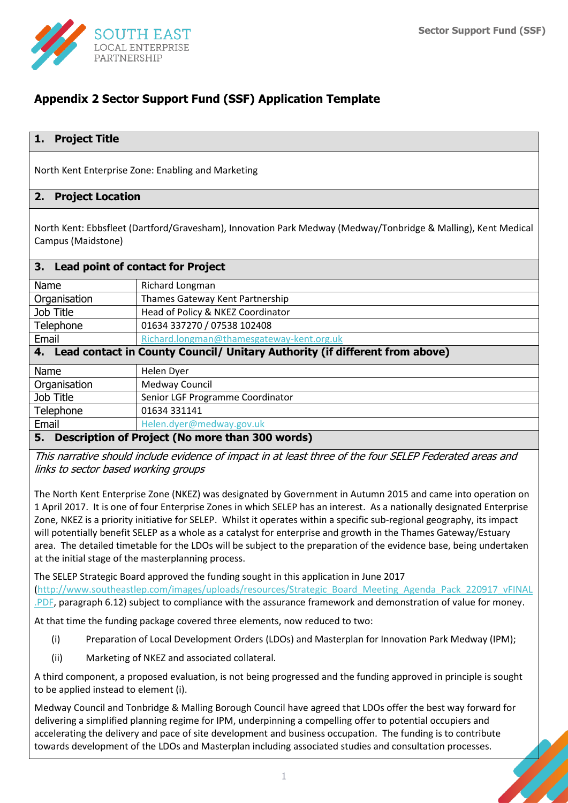

# **Appendix 2 Sector Support Fund (SSF) Application Template**

## **1. Project Title**

North Kent Enterprise Zone: Enabling and Marketing

### **2. Project Location**

North Kent: Ebbsfleet (Dartford/Gravesham), Innovation Park Medway (Medway/Tonbridge & Malling), Kent Medical Campus (Maidstone)

| 3. Lead point of contact for Project                                           |                                           |  |
|--------------------------------------------------------------------------------|-------------------------------------------|--|
| Name                                                                           | Richard Longman                           |  |
| Organisation                                                                   | Thames Gateway Kent Partnership           |  |
| Job Title                                                                      | Head of Policy & NKEZ Coordinator         |  |
| Telephone                                                                      | 01634 337270 / 07538 102408               |  |
| Email                                                                          | Richard.longman@thamesgateway-kent.org.uk |  |
| 4. Lead contact in County Council/ Unitary Authority (if different from above) |                                           |  |
| Name                                                                           | <b>Helen Dyer</b>                         |  |
| Organisation                                                                   | Medway Council                            |  |
| Job Title                                                                      | Senior LGF Programme Coordinator          |  |
| Telephone                                                                      | 01634 331141                              |  |
| Email                                                                          | Helen.dyer@medway.gov.uk                  |  |
| Description of Project (No more than 300 words)<br>5.                          |                                           |  |

This narrative should include evidence of impact in at least three of the four SELEP Federated areas and links to sector based working groups

The North Kent Enterprise Zone (NKEZ) was designated by Government in Autumn 2015 and came into operation on 1 April 2017. It is one of four Enterprise Zones in which SELEP has an interest. As a nationally designated Enterprise Zone, NKEZ is a priority initiative for SELEP. Whilst it operates within a specific sub-regional geography, its impact will potentially benefit SELEP as a whole as a catalyst for enterprise and growth in the Thames Gateway/Estuary area. The detailed timetable for the LDOs will be subject to the preparation of the evidence base, being undertaken at the initial stage of the masterplanning process.

The SELEP Strategic Board approved the funding sought in this application in June 2017 [\(http://www.southeastlep.com/images/uploads/resources/Strategic\\_Board\\_Meeting\\_Agenda\\_Pack\\_220917\\_vFINAL](http://www.southeastlep.com/images/uploads/resources/Strategic_Board_Meeting_Agenda_Pack_220917_vFINAL.PDF) [.PDF,](http://www.southeastlep.com/images/uploads/resources/Strategic_Board_Meeting_Agenda_Pack_220917_vFINAL.PDF) paragraph 6.12) subject to compliance with the assurance framework and demonstration of value for money.

At that time the funding package covered three elements, now reduced to two:

- (i) Preparation of Local Development Orders (LDOs) and Masterplan for Innovation Park Medway (IPM);
- (ii) Marketing of NKEZ and associated collateral.

A third component, a proposed evaluation, is not being progressed and the funding approved in principle is sought to be applied instead to element (i).

Medway Council and Tonbridge & Malling Borough Council have agreed that LDOs offer the best way forward for delivering a simplified planning regime for IPM, underpinning a compelling offer to potential occupiers and accelerating the delivery and pace of site development and business occupation. The funding is to contribute towards development of the LDOs and Masterplan including associated studies and consultation processes.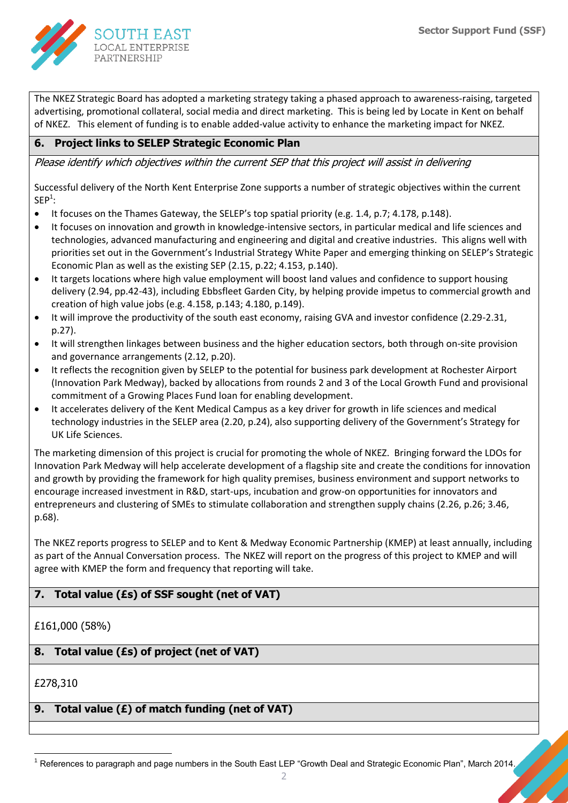

The NKEZ Strategic Board has adopted a marketing strategy taking a phased approach to awareness-raising, targeted advertising, promotional collateral, social media and direct marketing. This is being led by Locate in Kent on behalf of NKEZ. This element of funding is to enable added-value activity to enhance the marketing impact for NKEZ.

## **6. Project links to SELEP Strategic Economic Plan**

Please identify which objectives within the current SEP that this project will assist in delivering

Successful delivery of the North Kent Enterprise Zone supports a number of strategic objectives within the current  $SEP<sup>1</sup>$ :

- It focuses on the Thames Gateway, the SELEP's top spatial priority (e.g. 1.4, p.7; 4.178, p.148).
- It focuses on innovation and growth in knowledge-intensive sectors, in particular medical and life sciences and technologies, advanced manufacturing and engineering and digital and creative industries. This aligns well with priorities set out in the Government's Industrial Strategy White Paper and emerging thinking on SELEP's Strategic Economic Plan as well as the existing SEP (2.15, p.22; 4.153, p.140).
- It targets locations where high value employment will boost land values and confidence to support housing delivery (2.94, pp.42-43), including Ebbsfleet Garden City, by helping provide impetus to commercial growth and creation of high value jobs (e.g. 4.158, p.143; 4.180, p.149).
- It will improve the productivity of the south east economy, raising GVA and investor confidence (2.29-2.31, p.27).
- It will strengthen linkages between business and the higher education sectors, both through on-site provision and governance arrangements (2.12, p.20).
- It reflects the recognition given by SELEP to the potential for business park development at Rochester Airport (Innovation Park Medway), backed by allocations from rounds 2 and 3 of the Local Growth Fund and provisional commitment of a Growing Places Fund loan for enabling development.
- It accelerates delivery of the Kent Medical Campus as a key driver for growth in life sciences and medical technology industries in the SELEP area (2.20, p.24), also supporting delivery of the Government's Strategy for UK Life Sciences.

The marketing dimension of this project is crucial for promoting the whole of NKEZ. Bringing forward the LDOs for Innovation Park Medway will help accelerate development of a flagship site and create the conditions for innovation and growth by providing the framework for high quality premises, business environment and support networks to encourage increased investment in R&D, start-ups, incubation and grow-on opportunities for innovators and entrepreneurs and clustering of SMEs to stimulate collaboration and strengthen supply chains (2.26, p.26; 3.46, p.68).

The NKEZ reports progress to SELEP and to Kent & Medway Economic Partnership (KMEP) at least annually, including as part of the Annual Conversation process. The NKEZ will report on the progress of this project to KMEP and will agree with KMEP the form and frequency that reporting will take.

## **7. Total value (£s) of SSF sought (net of VAT)**

£161,000 (58%)

## **8. Total value (£s) of project (net of VAT)**

£278,310

## **9. Total value (£) of match funding (net of VAT)**

<sup>1</sup> <sup>1</sup> References to paragraph and page numbers in the South East LEP "Growth Deal and Strategic Economic Plan", March 2014,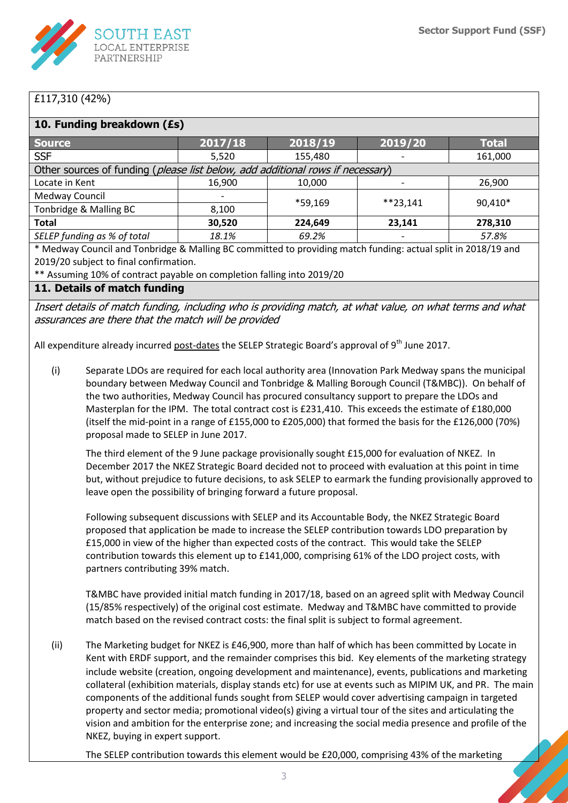

## £117,310 (42%)

| 10. Funding breakdown (£s)                                                     |         |         |            |              |  |
|--------------------------------------------------------------------------------|---------|---------|------------|--------------|--|
| <b>Source</b>                                                                  | 2017/18 | 2018/19 | 2019/20    | <b>Total</b> |  |
| <b>SSF</b>                                                                     | 5,520   | 155,480 |            | 161,000      |  |
| Other sources of funding (please list below, add additional rows if necessary) |         |         |            |              |  |
| Locate in Kent                                                                 | 16,900  | 10,000  |            | 26,900       |  |
| Medway Council                                                                 |         | *59,169 | $**23.141$ | 90,410*      |  |
| Tonbridge & Malling BC                                                         | 8,100   |         |            |              |  |
| <b>Total</b>                                                                   | 30,520  | 224,649 | 23,141     | 278,310      |  |
| SELEP funding as % of total                                                    | 18.1%   | 69.2%   |            | 57.8%        |  |
| $\cdots$ $\cdots$ $\cdots$ $\cdots$                                            |         |         |            |              |  |

\* Medway Council and Tonbridge & Malling BC committed to providing match funding: actual split in 2018/19 and 2019/20 subject to final confirmation.

\*\* Assuming 10% of contract payable on completion falling into 2019/20

## **11. Details of match funding**

Insert details of match funding, including who is providing match, at what value, on what terms and what assurances are there that the match will be provided

All expenditure already incurred post-dates the SELEP Strategic Board's approval of 9<sup>th</sup> June 2017.

(i) Separate LDOs are required for each local authority area (Innovation Park Medway spans the municipal boundary between Medway Council and Tonbridge & Malling Borough Council (T&MBC)). On behalf of the two authorities, Medway Council has procured consultancy support to prepare the LDOs and Masterplan for the IPM. The total contract cost is £231,410. This exceeds the estimate of £180,000 (itself the mid-point in a range of £155,000 to £205,000) that formed the basis for the £126,000 (70%) proposal made to SELEP in June 2017.

The third element of the 9 June package provisionally sought £15,000 for evaluation of NKEZ. In December 2017 the NKEZ Strategic Board decided not to proceed with evaluation at this point in time but, without prejudice to future decisions, to ask SELEP to earmark the funding provisionally approved to leave open the possibility of bringing forward a future proposal.

Following subsequent discussions with SELEP and its Accountable Body, the NKEZ Strategic Board proposed that application be made to increase the SELEP contribution towards LDO preparation by £15,000 in view of the higher than expected costs of the contract. This would take the SELEP contribution towards this element up to £141,000, comprising 61% of the LDO project costs, with partners contributing 39% match.

T&MBC have provided initial match funding in 2017/18, based on an agreed split with Medway Council (15/85% respectively) of the original cost estimate. Medway and T&MBC have committed to provide match based on the revised contract costs: the final split is subject to formal agreement.

(ii) The Marketing budget for NKEZ is £46,900, more than half of which has been committed by Locate in Kent with ERDF support, and the remainder comprises this bid. Key elements of the marketing strategy include website (creation, ongoing development and maintenance), events, publications and marketing collateral (exhibition materials, display stands etc) for use at events such as MIPIM UK, and PR. The main components of the additional funds sought from SELEP would cover advertising campaign in targeted property and sector media; promotional video(s) giving a virtual tour of the sites and articulating the vision and ambition for the enterprise zone; and increasing the social media presence and profile of the NKEZ, buying in expert support.

The SELEP contribution towards this element would be £20,000, comprising 43% of the marketing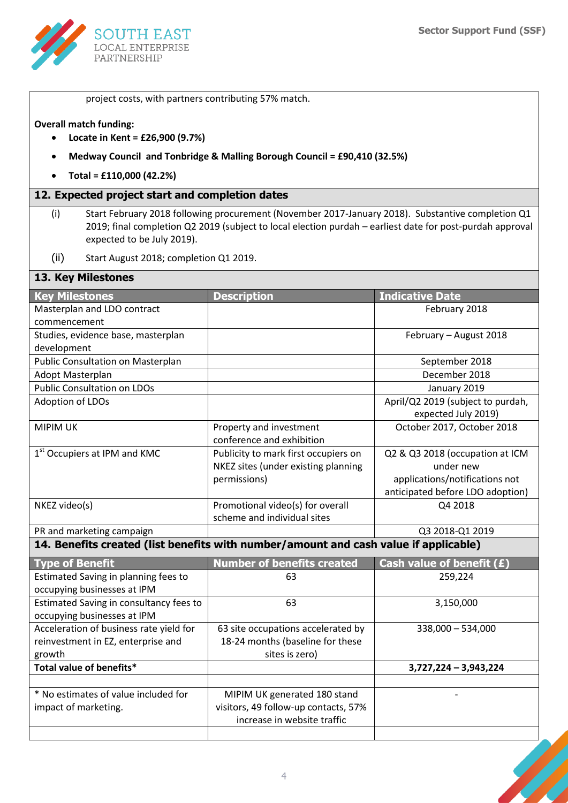

project costs, with partners contributing 57% match.

#### **Overall match funding:**

- **Locate in Kent = £26,900 (9.7%)**
- **Medway Council and Tonbridge & Malling Borough Council = £90,410 (32.5%)**
- **Total = £110,000 (42.2%)**

#### **12. Expected project start and completion dates**

- (i) Start February 2018 following procurement (November 2017-January 2018). Substantive completion Q1 2019; final completion Q2 2019 (subject to local election purdah – earliest date for post-purdah approval expected to be July 2019).
- (ii) Start August 2018; completion Q1 2019.

#### **13. Key Milestones**

| <b>Key Milestones</b>                                                                | <b>Description</b>                   | <b>Indicative Date</b>            |  |  |
|--------------------------------------------------------------------------------------|--------------------------------------|-----------------------------------|--|--|
| Masterplan and LDO contract                                                          |                                      | February 2018                     |  |  |
| commencement                                                                         |                                      |                                   |  |  |
| Studies, evidence base, masterplan                                                   |                                      | February - August 2018            |  |  |
| development                                                                          |                                      |                                   |  |  |
| Public Consultation on Masterplan                                                    |                                      | September 2018                    |  |  |
| Adopt Masterplan                                                                     |                                      | December 2018                     |  |  |
| <b>Public Consultation on LDOs</b>                                                   |                                      | January 2019                      |  |  |
| Adoption of LDOs                                                                     |                                      | April/Q2 2019 (subject to purdah, |  |  |
|                                                                                      |                                      | expected July 2019)               |  |  |
| <b>MIPIM UK</b>                                                                      | Property and investment              | October 2017, October 2018        |  |  |
|                                                                                      | conference and exhibition            |                                   |  |  |
| 1 <sup>st</sup> Occupiers at IPM and KMC                                             | Publicity to mark first occupiers on | Q2 & Q3 2018 (occupation at ICM   |  |  |
|                                                                                      | NKEZ sites (under existing planning  | under new                         |  |  |
|                                                                                      | permissions)                         | applications/notifications not    |  |  |
|                                                                                      |                                      | anticipated before LDO adoption)  |  |  |
| NKEZ video(s)                                                                        | Promotional video(s) for overall     | Q4 2018                           |  |  |
|                                                                                      | scheme and individual sites          |                                   |  |  |
| PR and marketing campaign                                                            |                                      | Q3 2018-Q1 2019                   |  |  |
| 14. Benefits created (list benefits with number/amount and cash value if applicable) |                                      |                                   |  |  |

| <b>Type of Benefit</b>                  | <b>Number of benefits created</b>    | Cash value of benefit $(E)$ |
|-----------------------------------------|--------------------------------------|-----------------------------|
| Estimated Saving in planning fees to    | 63                                   | 259,224                     |
| occupying businesses at IPM             |                                      |                             |
| Estimated Saving in consultancy fees to | 63                                   | 3,150,000                   |
| occupying businesses at IPM             |                                      |                             |
| Acceleration of business rate yield for | 63 site occupations accelerated by   | $338,000 - 534,000$         |
| reinvestment in EZ, enterprise and      | 18-24 months (baseline for these     |                             |
| growth                                  | sites is zero)                       |                             |
| Total value of benefits*                |                                      | $3,727,224 - 3,943,224$     |
|                                         |                                      |                             |
| * No estimates of value included for    | MIPIM UK generated 180 stand         |                             |
| impact of marketing.                    | visitors, 49 follow-up contacts, 57% |                             |
|                                         | increase in website traffic          |                             |
|                                         |                                      |                             |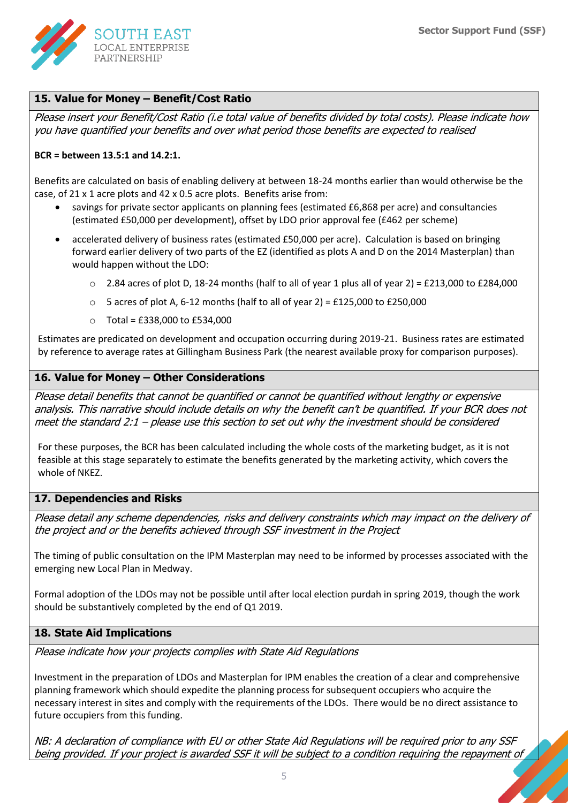

## **15. Value for Money – Benefit/Cost Ratio**

Please insert your Benefit/Cost Ratio (i.e total value of benefits divided by total costs). Please indicate how you have quantified your benefits and over what period those benefits are expected to realised

#### **BCR = between 13.5:1 and 14.2:1.**

Benefits are calculated on basis of enabling delivery at between 18-24 months earlier than would otherwise be the case, of 21 x 1 acre plots and 42 x 0.5 acre plots. Benefits arise from:

- savings for private sector applicants on planning fees (estimated £6,868 per acre) and consultancies (estimated £50,000 per development), offset by LDO prior approval fee (£462 per scheme)
- accelerated delivery of business rates (estimated £50,000 per acre). Calculation is based on bringing forward earlier delivery of two parts of the EZ (identified as plots A and D on the 2014 Masterplan) than would happen without the LDO:
	- $\circ$  2.84 acres of plot D, 18-24 months (half to all of year 1 plus all of year 2) = £213,000 to £284,000
	- $\circ$  5 acres of plot A, 6-12 months (half to all of year 2) = £125,000 to £250,000
	- o Total = £338,000 to £534,000

Estimates are predicated on development and occupation occurring during 2019-21. Business rates are estimated by reference to average rates at Gillingham Business Park (the nearest available proxy for comparison purposes).

## **16. Value for Money – Other Considerations**

Please detail benefits that cannot be quantified or cannot be quantified without lengthy or expensive analysis. This narrative should include details on why the benefit can't be quantified. If your BCR does not meet the standard 2:1 – please use this section to set out why the investment should be considered

For these purposes, the BCR has been calculated including the whole costs of the marketing budget, as it is not feasible at this stage separately to estimate the benefits generated by the marketing activity, which covers the whole of NKEZ.

### **17. Dependencies and Risks**

Please detail any scheme dependencies, risks and delivery constraints which may impact on the delivery of the project and or the benefits achieved through SSF investment in the Project

The timing of public consultation on the IPM Masterplan may need to be informed by processes associated with the emerging new Local Plan in Medway.

Formal adoption of the LDOs may not be possible until after local election purdah in spring 2019, though the work should be substantively completed by the end of Q1 2019.

### **18. State Aid Implications**

Please indicate how your projects complies with State Aid Regulations

Investment in the preparation of LDOs and Masterplan for IPM enables the creation of a clear and comprehensive planning framework which should expedite the planning process for subsequent occupiers who acquire the necessary interest in sites and comply with the requirements of the LDOs. There would be no direct assistance to future occupiers from this funding.

NB: A declaration of compliance with EU or other State Aid Regulations will be required prior to any SSF being provided. If your project is awarded SSF it will be subject to a condition requiring the repayment of